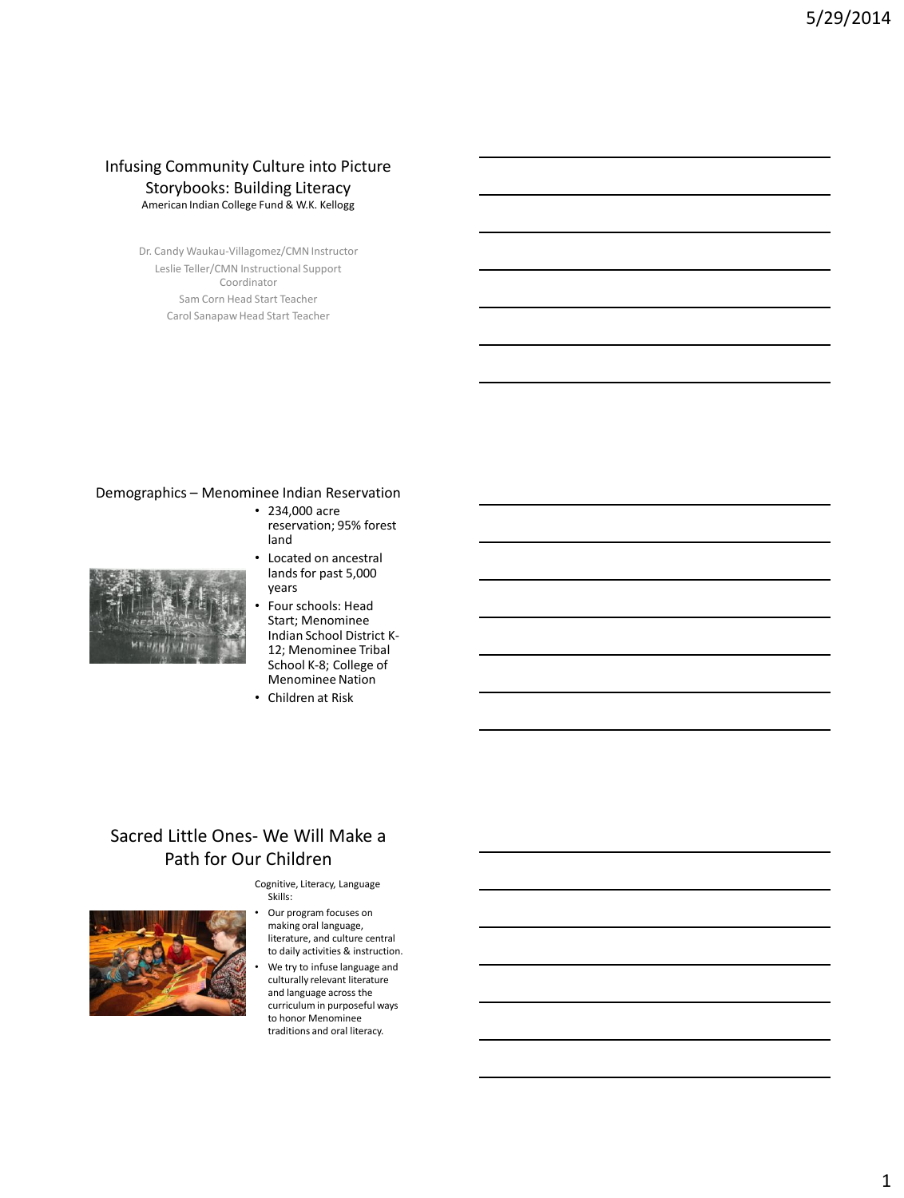#### Infusing Community Culture into Picture Storybooks: Building Literacy American Indian College Fund & W.K. Kellogg

Dr. Candy Waukau-Villagomez/CMN Instructor Leslie Teller/CMN Instructional Support Coordinator Sam Corn Head Start Teacher Carol Sanapaw Head Start Teacher

#### Demographics – Menominee Indian Reservation

• 234,000 acre reservation; 95% forest land



- Located on ancestral lands for past 5,000 years
- Four schools: Head Start; Menominee Indian School District K-12; Menominee Tribal School K-8; College of Menominee Nation
- Children at Risk

## Sacred Little Ones- We Will Make a Path for Our Children

Cognitive, Literacy, Language Skills:



Our program focuses on making oral language, literature, and culture central to daily activities & instruction. We try to infuse language and culturally relevant literature and language across the curriculum in purposeful ways to honor Menominee traditions and oral literacy.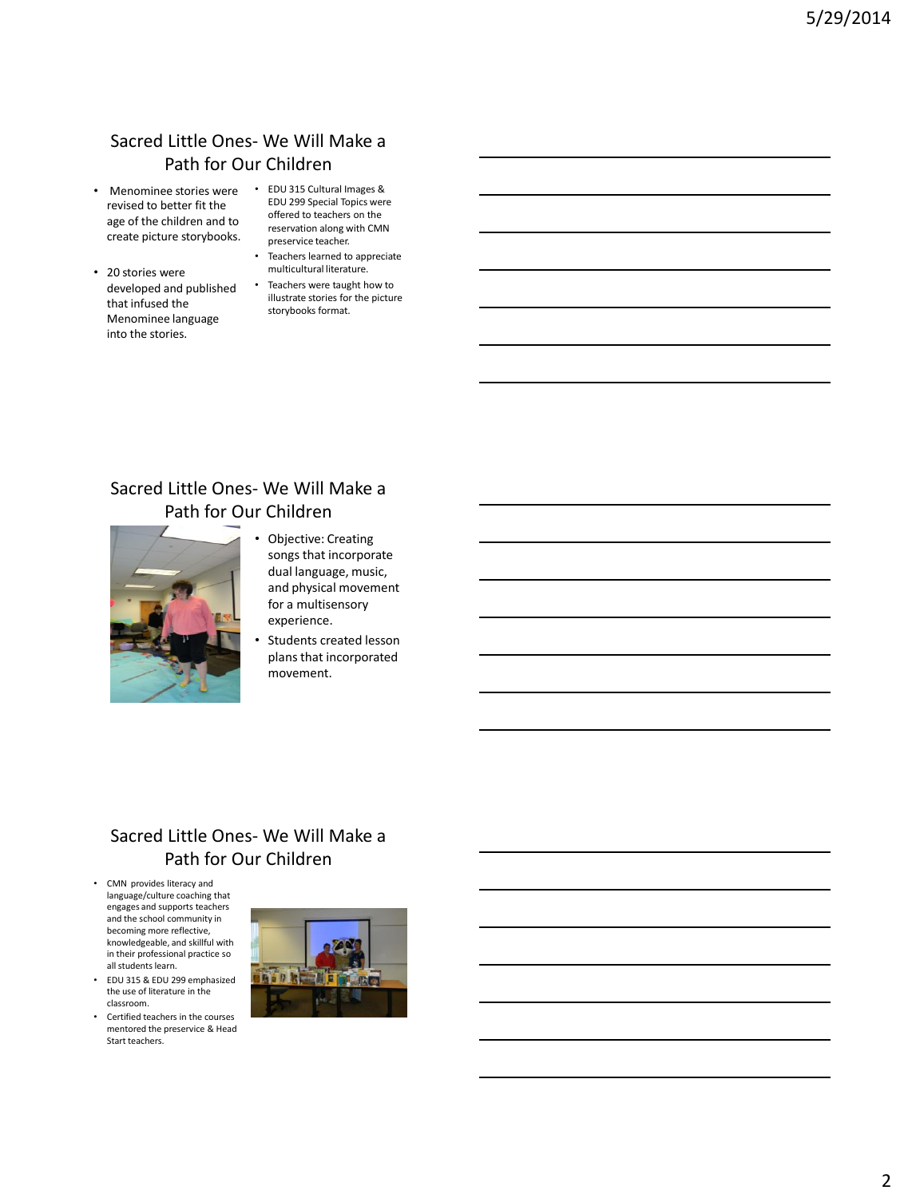## Sacred Little Ones- We Will Make a Path for Our Children

- Menominee stories were revised to better fit the age of the children and to create picture storybooks.
- 20 stories were developed and published that infused the Menominee language into the stories.
- EDU 315 Cultural Images & EDU 299 Special Topics were offered to teachers on the reservation along with CMN preservice teacher.
- Teachers learned to appreciate multicultural literature.
- Teachers were taught how to illustrate stories for the picture storybooks format.

## Sacred Little Ones- We Will Make a Path for Our Children



- Objective: Creating songs that incorporate dual language, music, and physical movement for a multisensory experience.
- Students created lesson plans that incorporated movement.

#### Sacred Little Ones- We Will Make a Path for Our Children

- CMN provides literacy and language/culture coaching that engages and supports teachers and the school community in becoming more reflective, knowledgeable, and skillful with in their professional practice so all students learn.
- EDU 315 & EDU 299 emphasized the use of literature in the classroom.
- Certified teachers in the courses mentored the preservice & Head Start teachers.

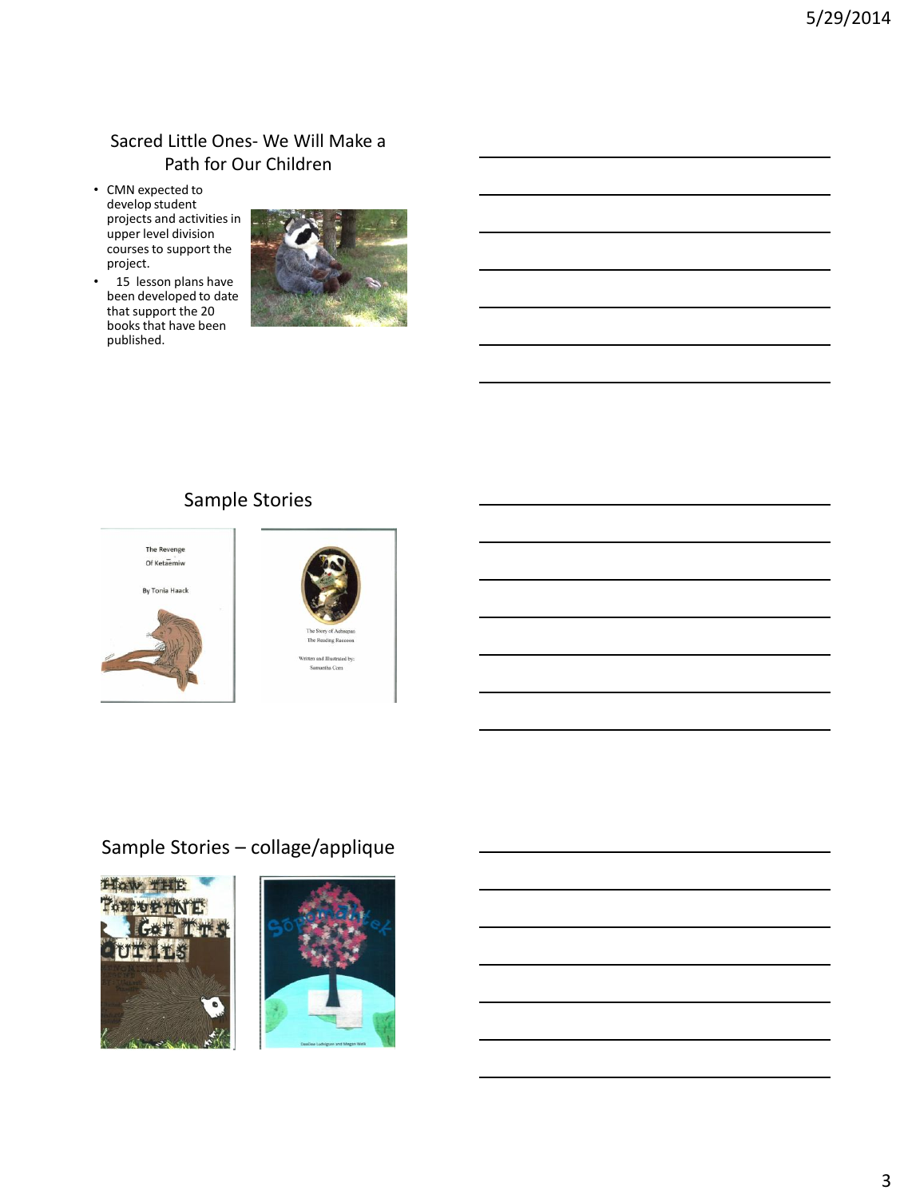### Sacred Little Ones- We Will Make a Path for Our Children

- CMN expected to develop student projects and activities in upper level division courses to support the project.
- 15 lesson plans have been developed to date that support the 20 books that have been published.



## Sample Stories



## Sample Stories – collage/applique